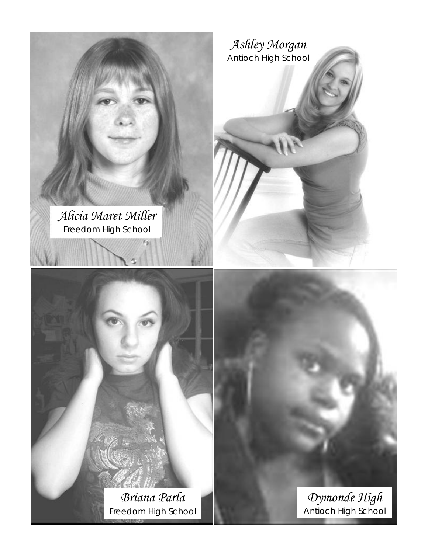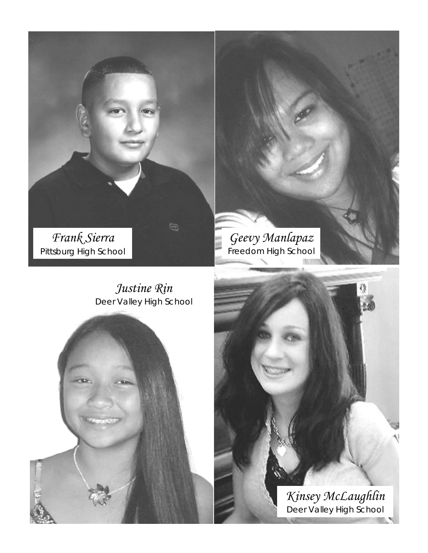*Frank Sierra*  Pittsburg High School

> *Justine Rin*  Deer Valley High School

0

*Kinsey McLaughlin* Deer Valley High School

*Geevy Manlapaz* Freedom High School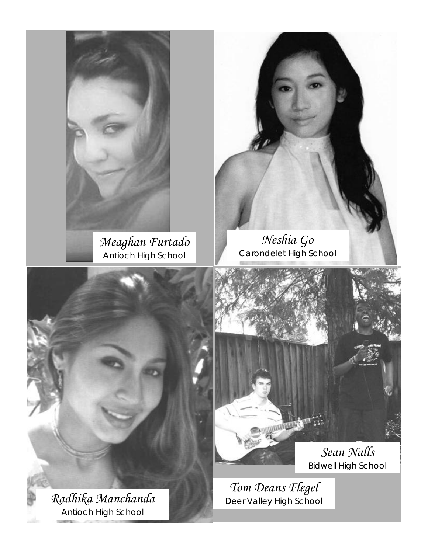